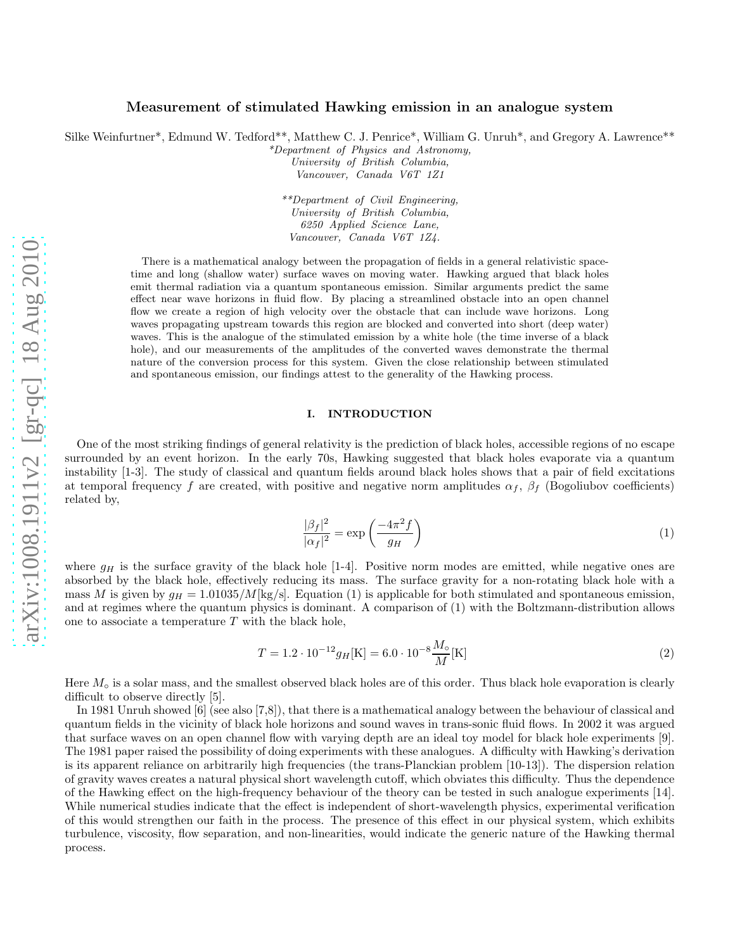# Measurement of stimulated Hawking emission in an analogue system

Silke Weinfurtner<sup>\*</sup>, Edmund W. Tedford<sup>\*\*</sup>, Matthew C. J. Penrice<sup>\*</sup>, William G. Unruh<sup>\*</sup>, and Gregory A. Lawrence<sup>\*\*</sup>

\*Department of Physics and Astronomy, University of British Columbia,

Vancouver, Canada V6T 1Z1

\*\*Department of Civil Engineering, University of British Columbia, 6250 Applied Science Lane, Vancouver, Canada V6T 1Z4.

There is a mathematical analogy between the propagation of fields in a general relativistic spacetime and long (shallow water) surface waves on moving water. Hawking argued that black holes emit thermal radiation via a quantum spontaneous emission. Similar arguments predict the same effect near wave horizons in fluid flow. By placing a streamlined obstacle into an open channel flow we create a region of high velocity over the obstacle that can include wave horizons. Long waves propagating upstream towards this region are blocked and converted into short (deep water) waves. This is the analogue of the stimulated emission by a white hole (the time inverse of a black hole), and our measurements of the amplitudes of the converted waves demonstrate the thermal nature of the conversion process for this system. Given the close relationship between stimulated and spontaneous emission, our findings attest to the generality of the Hawking process.

#### I. INTRODUCTION

One of the most striking findings of general relativity is the prediction of black holes, accessible regions of no escape surrounded by an event horizon. In the early 70s, Hawking suggested that black holes evaporate via a quantum instability [1-3]. The study of classical and quantum fields around black holes shows that a pair of field excitations at temporal frequency f are created, with positive and negative norm amplitudes  $\alpha_f$ ,  $\beta_f$  (Bogoliubov coefficients) related by,

$$
\frac{|\beta_f|^2}{|\alpha_f|^2} = \exp\left(\frac{-4\pi^2 f}{g_H}\right) \tag{1}
$$

where  $g_H$  is the surface gravity of the black hole [1-4]. Positive norm modes are emitted, while negative ones are absorbed by the black hole, effectively reducing its mass. The surface gravity for a non-rotating black hole with a mass M is given by  $g_H = 1.01035/M\text{[kg/s]}$ . Equation (1) is applicable for both stimulated and spontaneous emission, and at regimes where the quantum physics is dominant. A comparison of (1) with the Boltzmann-distribution allows one to associate a temperature  $T$  with the black hole,

$$
T = 1.2 \cdot 10^{-12} g_H[\text{K}] = 6.0 \cdot 10^{-8} \frac{M_\text{o}}{M}[\text{K}]
$$
\n(2)

Here  $M<sub>o</sub>$  is a solar mass, and the smallest observed black holes are of this order. Thus black hole evaporation is clearly difficult to observe directly [5].

In 1981 Unruh showed [6] (see also [7,8]), that there is a mathematical analogy between the behaviour of classical and quantum fields in the vicinity of black hole horizons and sound waves in trans-sonic fluid flows. In 2002 it was argued that surface waves on an open channel flow with varying depth are an ideal toy model for black hole experiments [9]. The 1981 paper raised the possibility of doing experiments with these analogues. A difficulty with Hawking's derivation is its apparent reliance on arbitrarily high frequencies (the trans-Planckian problem [10-13]). The dispersion relation of gravity waves creates a natural physical short wavelength cutoff, which obviates this difficulty. Thus the dependence of the Hawking effect on the high-frequency behaviour of the theory can be tested in such analogue experiments [14]. While numerical studies indicate that the effect is independent of short-wavelength physics, experimental verification of this would strengthen our faith in the process. The presence of this effect in our physical system, which exhibits turbulence, viscosity, flow separation, and non-linearities, would indicate the generic nature of the Hawking thermal process.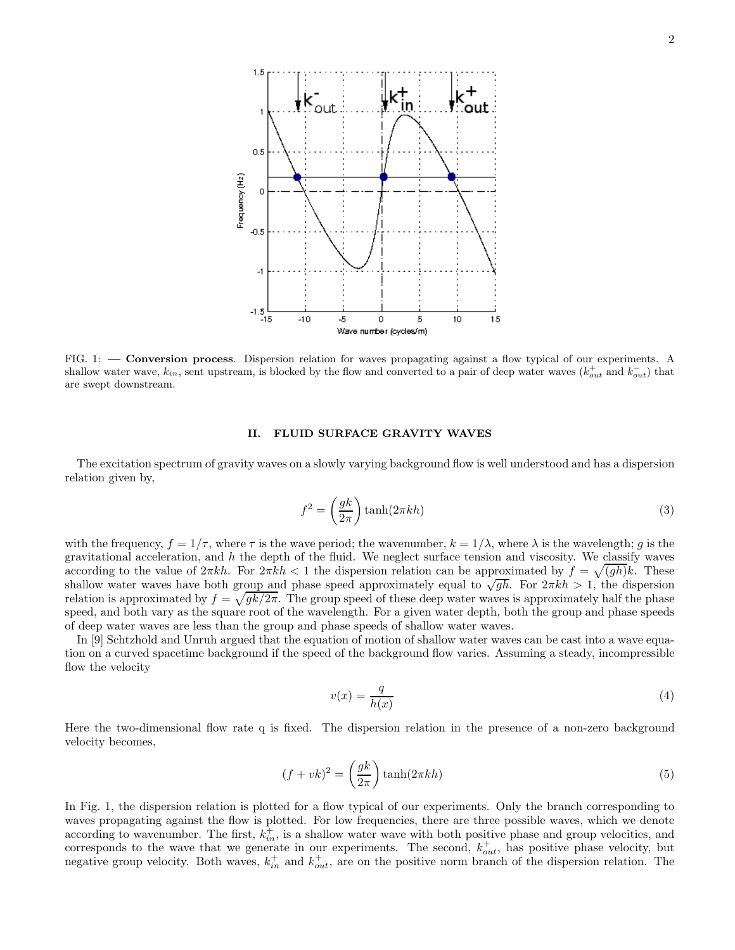

FIG. 1: — Conversion process. Dispersion relation for waves propagating against a flow typical of our experiments. A shallow water wave,  $k_{in}$ , sent upstream, is blocked by the flow and converted to a pair of deep water waves  $(k_{out}^{\dagger}$  and  $k_{out}^{-}$ ) that are swept downstream.

## II. FLUID SURFACE GRAVITY WAVES

The excitation spectrum of gravity waves on a slowly varying background flow is well understood and has a dispersion relation given by,

$$
f^2 = \left(\frac{gk}{2\pi}\right) \tanh(2\pi kh) \tag{3}
$$

with the frequency,  $f = 1/\tau$ , where  $\tau$  is the wave period; the wavenumber,  $k = 1/\lambda$ , where  $\lambda$  is the wavelength; g is the gravitational acceleration, and  $h$  the depth of the fluid. We neglect surface tension and viscosity. We classify waves according to the value of  $2\pi kh$ . For  $2\pi kh < 1$  the dispersion relation can be approximated by  $f = \sqrt{(gh)}k$ . These shallow water waves have both group and phase speed approximately equal to  $\sqrt{gh}$ . For  $2\pi kh > 1$ , the dispersion relation is approximated by  $f = \sqrt{gk/2\pi}$ . The group speed of these deep water waves is approximately half the phase speed, and both vary as the square root of the wavelength. For a given water depth, both the group and phase speeds of deep water waves are less than the group and phase speeds of shallow water waves.

In [9] Schtzhold and Unruh argued that the equation of motion of shallow water waves can be cast into a wave equation on a curved spacetime background if the speed of the background flow varies. Assuming a steady, incompressible flow the velocity

$$
v(x) = \frac{q}{h(x)}\tag{4}
$$

Here the two-dimensional flow rate q is fixed. The dispersion relation in the presence of a non-zero background velocity becomes,

$$
(f + vk)^2 = \left(\frac{gk}{2\pi}\right)\tanh(2\pi kh)
$$
\n(5)

In Fig. 1, the dispersion relation is plotted for a flow typical of our experiments. Only the branch corresponding to waves propagating against the flow is plotted. For low frequencies, there are three possible waves, which we denote according to wavenumber. The first,  $k_{in}^+$ , is a shallow water wave with both positive phase and group velocities, and corresponds to the wave that we generate in our experiments. The second,  $k_{out}^+$ , has positive phase velocity, but negative group velocity. Both waves,  $k_{in}^+$  and  $k_{out}^+$ , are on the positive norm branch of the dispersion relation. The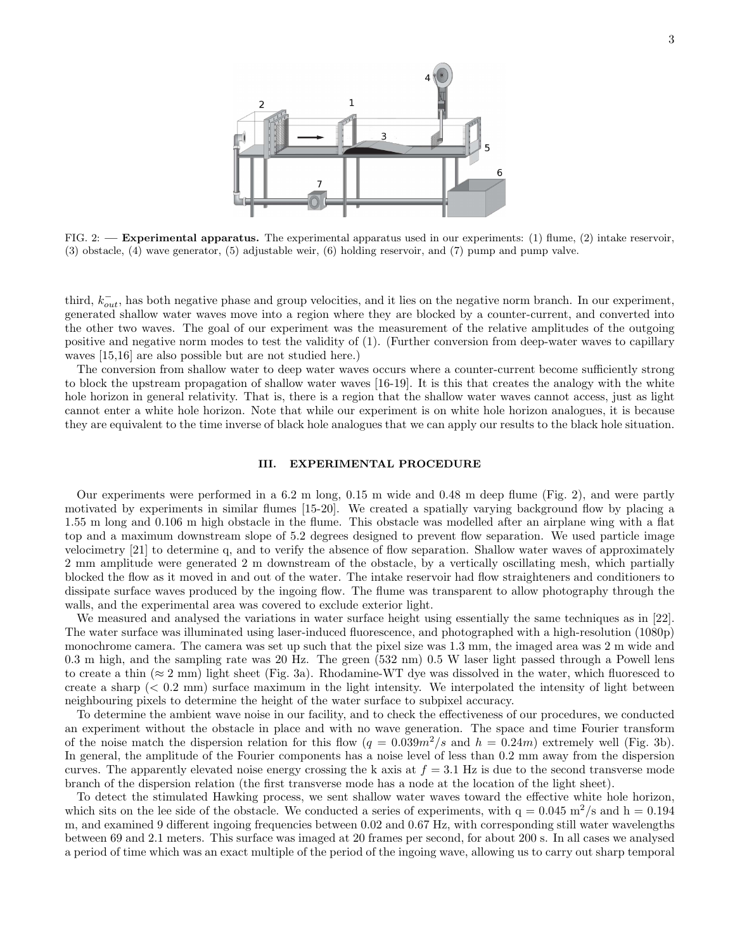

FIG. 2: — **Experimental apparatus.** The experimental apparatus used in our experiments: (1) flume, (2) intake reservoir, (3) obstacle, (4) wave generator, (5) adjustable weir, (6) holding reservoir, and (7) pump and pump valve.

third,  $k_{out}^-$ , has both negative phase and group velocities, and it lies on the negative norm branch. In our experiment, generated shallow water waves move into a region where they are blocked by a counter-current, and converted into the other two waves. The goal of our experiment was the measurement of the relative amplitudes of the outgoing positive and negative norm modes to test the validity of (1). (Further conversion from deep-water waves to capillary waves [15,16] are also possible but are not studied here.)

The conversion from shallow water to deep water waves occurs where a counter-current become sufficiently strong to block the upstream propagation of shallow water waves [16-19]. It is this that creates the analogy with the white hole horizon in general relativity. That is, there is a region that the shallow water waves cannot access, just as light cannot enter a white hole horizon. Note that while our experiment is on white hole horizon analogues, it is because they are equivalent to the time inverse of black hole analogues that we can apply our results to the black hole situation.

# III. EXPERIMENTAL PROCEDURE

Our experiments were performed in a 6.2 m long, 0.15 m wide and 0.48 m deep flume (Fig. 2), and were partly motivated by experiments in similar flumes [15-20]. We created a spatially varying background flow by placing a 1.55 m long and 0.106 m high obstacle in the flume. This obstacle was modelled after an airplane wing with a flat top and a maximum downstream slope of 5.2 degrees designed to prevent flow separation. We used particle image velocimetry [21] to determine q, and to verify the absence of flow separation. Shallow water waves of approximately 2 mm amplitude were generated 2 m downstream of the obstacle, by a vertically oscillating mesh, which partially blocked the flow as it moved in and out of the water. The intake reservoir had flow straighteners and conditioners to dissipate surface waves produced by the ingoing flow. The flume was transparent to allow photography through the walls, and the experimental area was covered to exclude exterior light.

We measured and analysed the variations in water surface height using essentially the same techniques as in [22]. The water surface was illuminated using laser-induced fluorescence, and photographed with a high-resolution (1080p) monochrome camera. The camera was set up such that the pixel size was 1.3 mm, the imaged area was 2 m wide and 0.3 m high, and the sampling rate was 20 Hz. The green (532 nm) 0.5 W laser light passed through a Powell lens to create a thin ( $\approx 2$  mm) light sheet (Fig. 3a). Rhodamine-WT dye was dissolved in the water, which fluoresced to create a sharp  $( $0.2 \text{ mm}$ ) surface maximum in the light intensity. We interpolated the intensity of light between$ neighbouring pixels to determine the height of the water surface to subpixel accuracy.

To determine the ambient wave noise in our facility, and to check the effectiveness of our procedures, we conducted an experiment without the obstacle in place and with no wave generation. The space and time Fourier transform of the noise match the dispersion relation for this flow  $(q = 0.039m^2/s$  and  $h = 0.24m)$  extremely well (Fig. 3b). In general, the amplitude of the Fourier components has a noise level of less than 0.2 mm away from the dispersion curves. The apparently elevated noise energy crossing the k axis at  $f = 3.1$  Hz is due to the second transverse mode branch of the dispersion relation (the first transverse mode has a node at the location of the light sheet).

To detect the stimulated Hawking process, we sent shallow water waves toward the effective white hole horizon, which sits on the lee side of the obstacle. We conducted a series of experiments, with  $q = 0.045$  m<sup>2</sup>/s and h = 0.194 m, and examined 9 different ingoing frequencies between 0.02 and 0.67 Hz, with corresponding still water wavelengths between 69 and 2.1 meters. This surface was imaged at 20 frames per second, for about 200 s. In all cases we analysed a period of time which was an exact multiple of the period of the ingoing wave, allowing us to carry out sharp temporal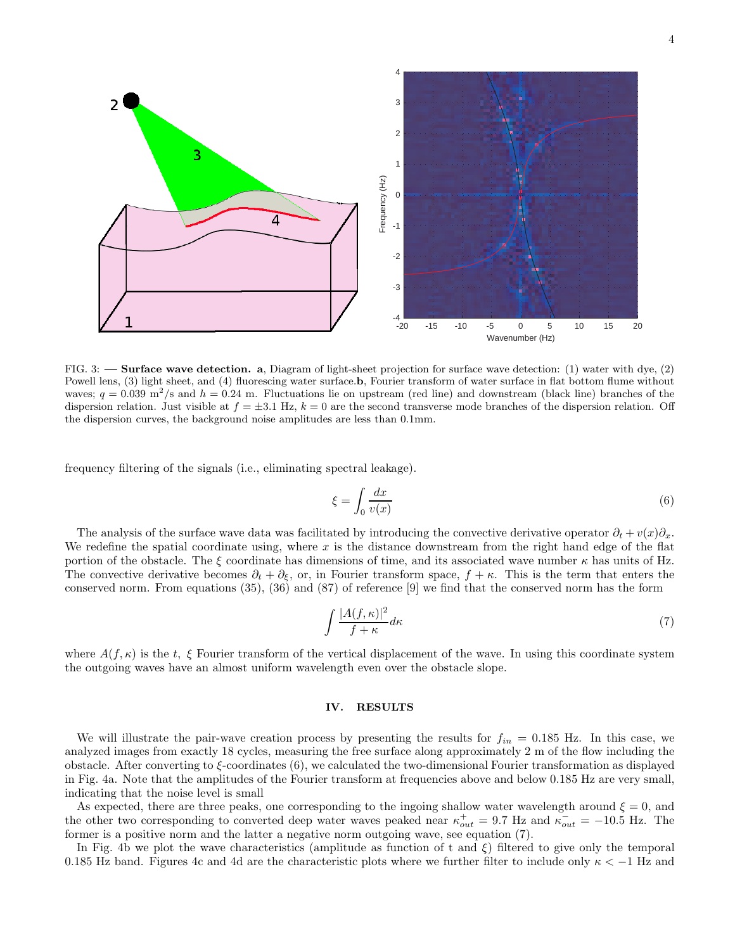

FIG. 3: — Surface wave detection. a, Diagram of light-sheet projection for surface wave detection: (1) water with dye, (2) Powell lens, (3) light sheet, and (4) fluorescing water surface.b, Fourier transform of water surface in flat bottom flume without waves;  $q = 0.039$  m<sup>2</sup>/s and  $h = 0.24$  m. Fluctuations lie on upstream (red line) and downstream (black line) branches of the dispersion relation. Just visible at  $f = \pm 3.1$  Hz,  $k = 0$  are the second transverse mode branches of the dispersion relation. Off the dispersion curves, the background noise amplitudes are less than 0.1mm.

frequency filtering of the signals (i.e., eliminating spectral leakage).

$$
\xi = \int_0 \frac{dx}{v(x)}\tag{6}
$$

The analysis of the surface wave data was facilitated by introducing the convective derivative operator  $\partial_t + v(x)\partial_x$ . We redefine the spatial coordinate using, where x is the distance downstream from the right hand edge of the flat portion of the obstacle. The  $\xi$  coordinate has dimensions of time, and its associated wave number  $\kappa$  has units of Hz. The convective derivative becomes  $\partial_t + \partial_{\xi}$ , or, in Fourier transform space,  $f + \kappa$ . This is the term that enters the conserved norm. From equations (35), (36) and (87) of reference [9] we find that the conserved norm has the form

$$
\int \frac{|A(f,\kappa)|^2}{f+\kappa} d\kappa \tag{7}
$$

where  $A(f, \kappa)$  is the t,  $\xi$  Fourier transform of the vertical displacement of the wave. In using this coordinate system the outgoing waves have an almost uniform wavelength even over the obstacle slope.

### IV. RESULTS

We will illustrate the pair-wave creation process by presenting the results for  $f_{in} = 0.185$  Hz. In this case, we analyzed images from exactly 18 cycles, measuring the free surface along approximately 2 m of the flow including the obstacle. After converting to  $\xi$ -coordinates (6), we calculated the two-dimensional Fourier transformation as displayed in Fig. 4a. Note that the amplitudes of the Fourier transform at frequencies above and below 0.185 Hz are very small, indicating that the noise level is small

As expected, there are three peaks, one corresponding to the ingoing shallow water wavelength around  $\xi = 0$ , and the other two corresponding to converted deep water waves peaked near  $\kappa_{out}^+ = 9.7$  Hz and  $\kappa_{out}^- = -10.5$  Hz. The former is a positive norm and the latter a negative norm outgoing wave, see equation (7).

In Fig. 4b we plot the wave characteristics (amplitude as function of t and  $\xi$ ) filtered to give only the temporal 0.185 Hz band. Figures 4c and 4d are the characteristic plots where we further filter to include only  $\kappa < -1$  Hz and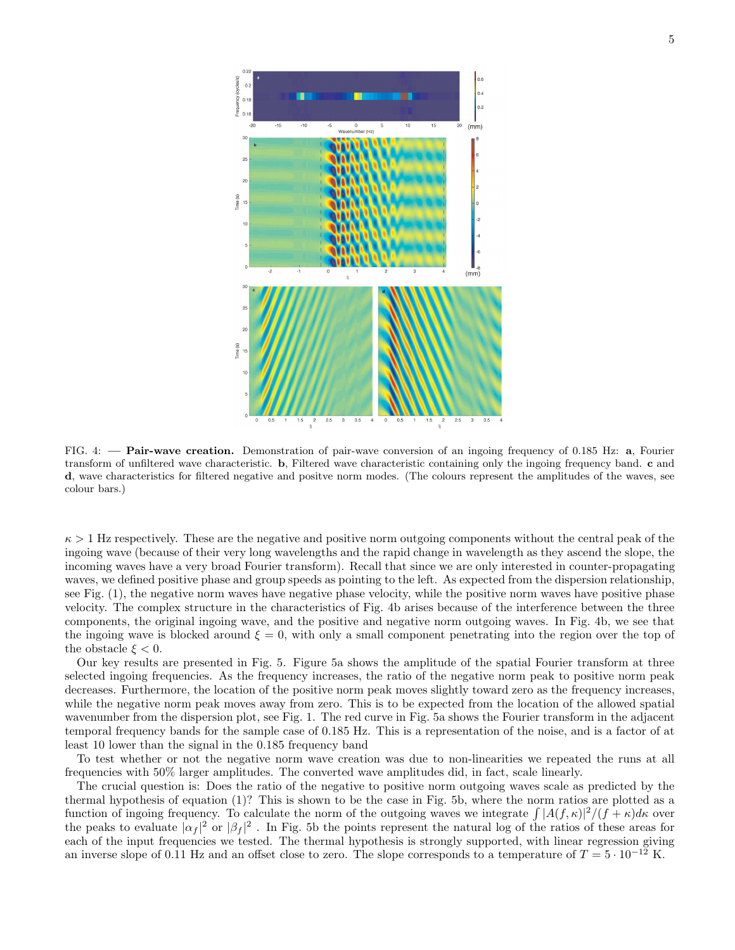

FIG. 4: - Pair-wave creation. Demonstration of pair-wave conversion of an ingoing frequency of 0.185 Hz: a, Fourier transform of unfiltered wave characteristic. b, Filtered wave characteristic containing only the ingoing frequency band. c and d, wave characteristics for filtered negative and positve norm modes. (The colours represent the amplitudes of the waves, see colour bars.)

 $\kappa > 1$  Hz respectively. These are the negative and positive norm outgoing components without the central peak of the ingoing wave (because of their very long wavelengths and the rapid change in wavelength as they ascend the slope, the incoming waves have a very broad Fourier transform). Recall that since we are only interested in counter-propagating waves, we defined positive phase and group speeds as pointing to the left. As expected from the dispersion relationship, see Fig. (1), the negative norm waves have negative phase velocity, while the positive norm waves have positive phase velocity. The complex structure in the characteristics of Fig. 4b arises because of the interference between the three components, the original ingoing wave, and the positive and negative norm outgoing waves. In Fig. 4b, we see that the ingoing wave is blocked around  $\xi = 0$ , with only a small component penetrating into the region over the top of the obstacle  $\xi < 0$ .

Our key results are presented in Fig. 5. Figure 5a shows the amplitude of the spatial Fourier transform at three selected ingoing frequencies. As the frequency increases, the ratio of the negative norm peak to positive norm peak decreases. Furthermore, the location of the positive norm peak moves slightly toward zero as the frequency increases, while the negative norm peak moves away from zero. This is to be expected from the location of the allowed spatial wavenumber from the dispersion plot, see Fig. 1. The red curve in Fig. 5a shows the Fourier transform in the adjacent temporal frequency bands for the sample case of 0.185 Hz. This is a representation of the noise, and is a factor of at least 10 lower than the signal in the 0.185 frequency band

To test whether or not the negative norm wave creation was due to non-linearities we repeated the runs at all frequencies with 50% larger amplitudes. The converted wave amplitudes did, in fact, scale linearly.

The crucial question is: Does the ratio of the negative to positive norm outgoing waves scale as predicted by the thermal hypothesis of equation (1)? This is shown to be the case in Fig. 5b, where the norm ratios are plotted as a function of ingoing frequency. To calculate the norm of the outgoing waves we integrate  $\int |A(f,\kappa)|^2/(f+\kappa)d\kappa$  over the peaks to evaluate  $|\alpha_f|^2$  or  $|\beta_f|^2$ . In Fig. 5b the points represent the natural log of the ratios of these areas for each of the input frequencies we tested. The thermal hypothesis is strongly supported, with linear regression giving an inverse slope of 0.11 Hz and an offset close to zero. The slope corresponds to a temperature of  $T = 5 \cdot 10^{-12}$  K.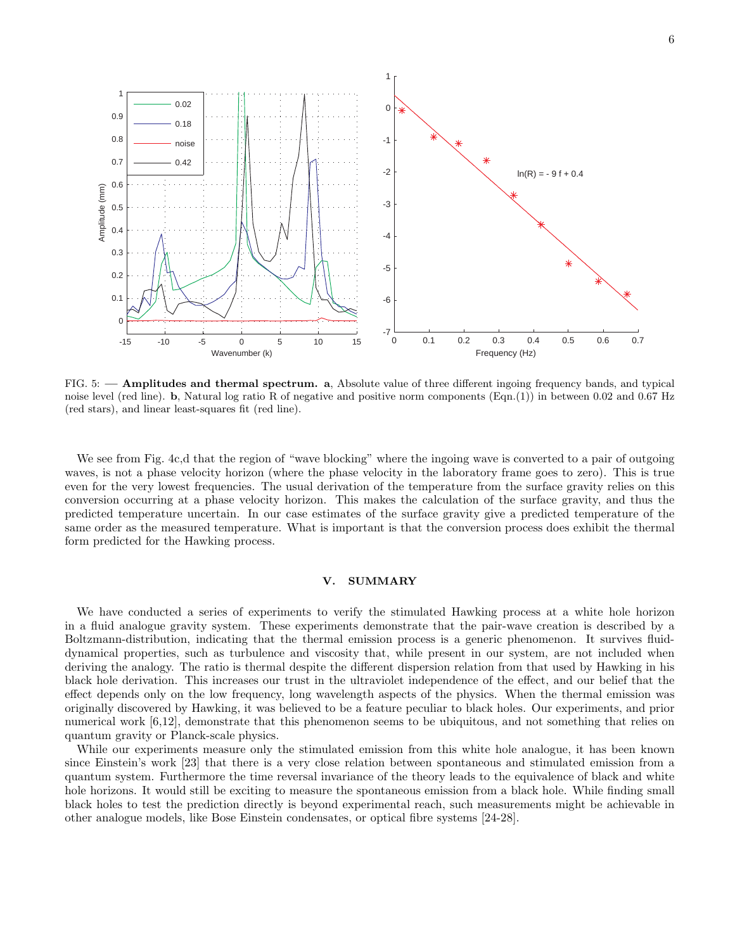

FIG. 5: — Amplitudes and thermal spectrum. a, Absolute value of three different ingoing frequency bands, and typical noise level (red line). **b**, Natural log ratio R of negative and positive norm components (Eqn.(1)) in between 0.02 and 0.67 Hz (red stars), and linear least-squares fit (red line).

We see from Fig. 4c,d that the region of "wave blocking" where the ingoing wave is converted to a pair of outgoing waves, is not a phase velocity horizon (where the phase velocity in the laboratory frame goes to zero). This is true even for the very lowest frequencies. The usual derivation of the temperature from the surface gravity relies on this conversion occurring at a phase velocity horizon. This makes the calculation of the surface gravity, and thus the predicted temperature uncertain. In our case estimates of the surface gravity give a predicted temperature of the same order as the measured temperature. What is important is that the conversion process does exhibit the thermal form predicted for the Hawking process.

### V. SUMMARY

We have conducted a series of experiments to verify the stimulated Hawking process at a white hole horizon in a fluid analogue gravity system. These experiments demonstrate that the pair-wave creation is described by a Boltzmann-distribution, indicating that the thermal emission process is a generic phenomenon. It survives fluiddynamical properties, such as turbulence and viscosity that, while present in our system, are not included when deriving the analogy. The ratio is thermal despite the different dispersion relation from that used by Hawking in his black hole derivation. This increases our trust in the ultraviolet independence of the effect, and our belief that the effect depends only on the low frequency, long wavelength aspects of the physics. When the thermal emission was originally discovered by Hawking, it was believed to be a feature peculiar to black holes. Our experiments, and prior numerical work [6,12], demonstrate that this phenomenon seems to be ubiquitous, and not something that relies on quantum gravity or Planck-scale physics.

While our experiments measure only the stimulated emission from this white hole analogue, it has been known since Einstein's work [23] that there is a very close relation between spontaneous and stimulated emission from a quantum system. Furthermore the time reversal invariance of the theory leads to the equivalence of black and white hole horizons. It would still be exciting to measure the spontaneous emission from a black hole. While finding small black holes to test the prediction directly is beyond experimental reach, such measurements might be achievable in other analogue models, like Bose Einstein condensates, or optical fibre systems [24-28].